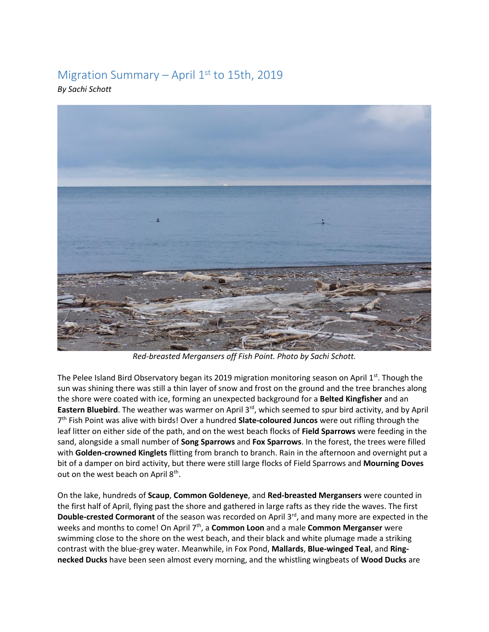## Migration Summary – April  $1<sup>st</sup>$  to 15th, 2019

*By Sachi Schott* 



*Red-breasted Mergansers off Fish Point. Photo by Sachi Schott.* 

The Pelee Island Bird Observatory began its 2019 migration monitoring season on April 1<sup>st</sup>. Though the sun was shining there was still a thin layer of snow and frost on the ground and the tree branches along the shore were coated with ice, forming an unexpected background for a **Belted Kingfisher** and an Eastern Bluebird. The weather was warmer on April 3<sup>rd</sup>, which seemed to spur bird activity, and by April 7 th Fish Point was alive with birds! Over a hundred **Slate-coloured Juncos** were out rifling through the leaf litter on either side of the path, and on the west beach flocks of **Field Sparrows** were feeding in the sand, alongside a small number of **Song Sparrows** and **Fox Sparrows**. In the forest, the trees were filled with **Golden-crowned Kinglets** flitting from branch to branch. Rain in the afternoon and overnight put a bit of a damper on bird activity, but there were still large flocks of Field Sparrows and **Mourning Doves** out on the west beach on April 8<sup>th</sup>.

On the lake, hundreds of **Scaup**, **Common Goldeneye**, and **Red-breasted Mergansers** were counted in the first half of April, flying past the shore and gathered in large rafts as they ride the waves. The first **Double-crested Cormorant** of the season was recorded on April 3<sup>rd</sup>, and many more are expected in the weeks and months to come! On April 7th, a **Common Loon** and a male **Common Merganser** were swimming close to the shore on the west beach, and their black and white plumage made a striking contrast with the blue-grey water. Meanwhile, in Fox Pond, **Mallards**, **Blue-winged Teal**, and **Ringnecked Ducks** have been seen almost every morning, and the whistling wingbeats of **Wood Ducks** are